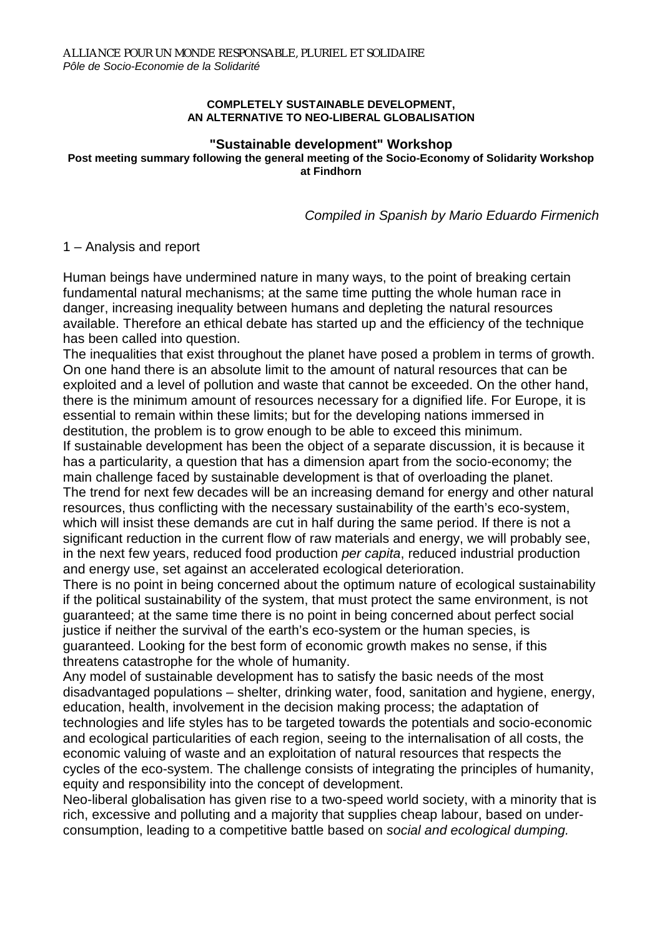#### **COMPLETELY SUSTAINABLE DEVELOPMENT, AN ALTERNATIVE TO NEO-LIBERAL GLOBALISATION**

# **"Sustainable development" Workshop**

**Post meeting summary following the general meeting of the Socio-Economy of Solidarity Workshop at Findhorn** 

*Compiled in Spanish by Mario Eduardo Firmenich*

### 1 – Analysis and report

Human beings have undermined nature in many ways, to the point of breaking certain fundamental natural mechanisms; at the same time putting the whole human race in danger, increasing inequality between humans and depleting the natural resources available. Therefore an ethical debate has started up and the efficiency of the technique has been called into question.

The inequalities that exist throughout the planet have posed a problem in terms of growth. On one hand there is an absolute limit to the amount of natural resources that can be exploited and a level of pollution and waste that cannot be exceeded. On the other hand, there is the minimum amount of resources necessary for a dignified life. For Europe, it is essential to remain within these limits; but for the developing nations immersed in destitution, the problem is to grow enough to be able to exceed this minimum. If sustainable development has been the object of a separate discussion, it is because it has a particularity, a question that has a dimension apart from the socio-economy; the main challenge faced by sustainable development is that of overloading the planet. The trend for next few decades will be an increasing demand for energy and other natural resources, thus conflicting with the necessary sustainability of the earth's eco-system, which will insist these demands are cut in half during the same period. If there is not a significant reduction in the current flow of raw materials and energy, we will probably see, in the next few years, reduced food production *per capita*, reduced industrial production and energy use, set against an accelerated ecological deterioration.

There is no point in being concerned about the optimum nature of ecological sustainability if the political sustainability of the system, that must protect the same environment, is not guaranteed; at the same time there is no point in being concerned about perfect social justice if neither the survival of the earth's eco-system or the human species, is guaranteed. Looking for the best form of economic growth makes no sense, if this threatens catastrophe for the whole of humanity.

Any model of sustainable development has to satisfy the basic needs of the most disadvantaged populations – shelter, drinking water, food, sanitation and hygiene, energy, education, health, involvement in the decision making process; the adaptation of technologies and life styles has to be targeted towards the potentials and socio-economic and ecological particularities of each region, seeing to the internalisation of all costs, the economic valuing of waste and an exploitation of natural resources that respects the cycles of the eco-system. The challenge consists of integrating the principles of humanity, equity and responsibility into the concept of development.

Neo-liberal globalisation has given rise to a two-speed world society, with a minority that is rich, excessive and polluting and a majority that supplies cheap labour, based on underconsumption, leading to a competitive battle based on *social and ecological dumping.*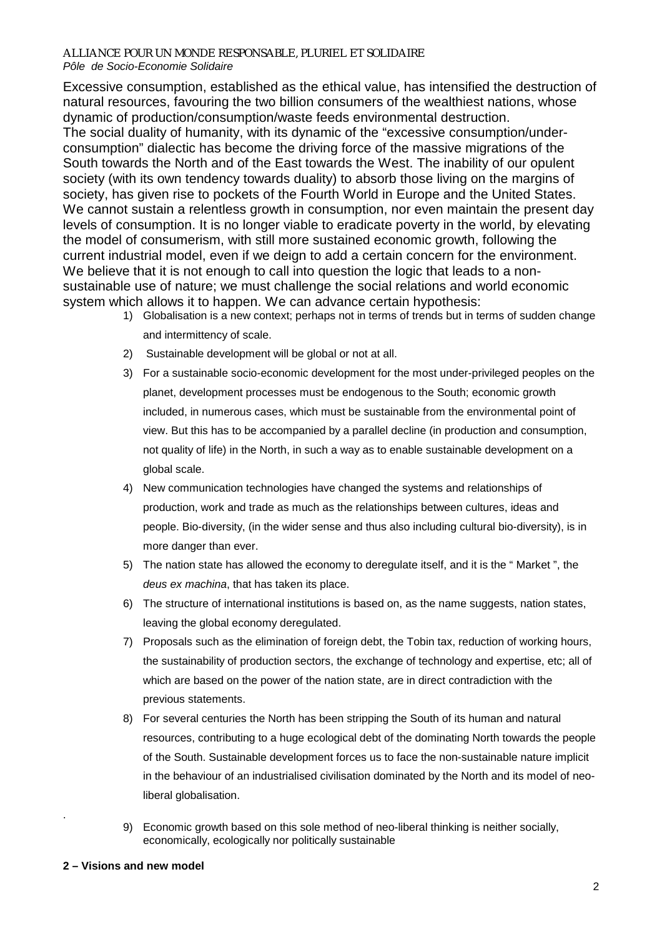Excessive consumption, established as the ethical value, has intensified the destruction of natural resources, favouring the two billion consumers of the wealthiest nations, whose dynamic of production/consumption/waste feeds environmental destruction. The social duality of humanity, with its dynamic of the "excessive consumption/underconsumption" dialectic has become the driving force of the massive migrations of the South towards the North and of the East towards the West. The inability of our opulent society (with its own tendency towards duality) to absorb those living on the margins of society, has given rise to pockets of the Fourth World in Europe and the United States. We cannot sustain a relentless growth in consumption, nor even maintain the present day levels of consumption. It is no longer viable to eradicate poverty in the world, by elevating the model of consumerism, with still more sustained economic growth, following the

current industrial model, even if we deign to add a certain concern for the environment. We believe that it is not enough to call into question the logic that leads to a nonsustainable use of nature; we must challenge the social relations and world economic system which allows it to happen. We can advance certain hypothesis:

- 1) Globalisation is a new context; perhaps not in terms of trends but in terms of sudden change and intermittency of scale.
- 2) Sustainable development will be global or not at all.
- 3) For a sustainable socio-economic development for the most under-privileged peoples on the planet, development processes must be endogenous to the South; economic growth included, in numerous cases, which must be sustainable from the environmental point of view. But this has to be accompanied by a parallel decline (in production and consumption, not quality of life) in the North, in such a way as to enable sustainable development on a global scale.
- 4) New communication technologies have changed the systems and relationships of production, work and trade as much as the relationships between cultures, ideas and people. Bio-diversity, (in the wider sense and thus also including cultural bio-diversity), is in more danger than ever.
- 5) The nation state has allowed the economy to deregulate itself, and it is the " Market ", the *deus ex machina*, that has taken its place.
- 6) The structure of international institutions is based on, as the name suggests, nation states, leaving the global economy deregulated.
- 7) Proposals such as the elimination of foreign debt, the Tobin tax, reduction of working hours, the sustainability of production sectors, the exchange of technology and expertise, etc; all of which are based on the power of the nation state, are in direct contradiction with the previous statements.
- 8) For several centuries the North has been stripping the South of its human and natural resources, contributing to a huge ecological debt of the dominating North towards the people of the South. Sustainable development forces us to face the non-sustainable nature implicit in the behaviour of an industrialised civilisation dominated by the North and its model of neoliberal globalisation.
- 9) Economic growth based on this sole method of neo-liberal thinking is neither socially, economically, ecologically nor politically sustainable

.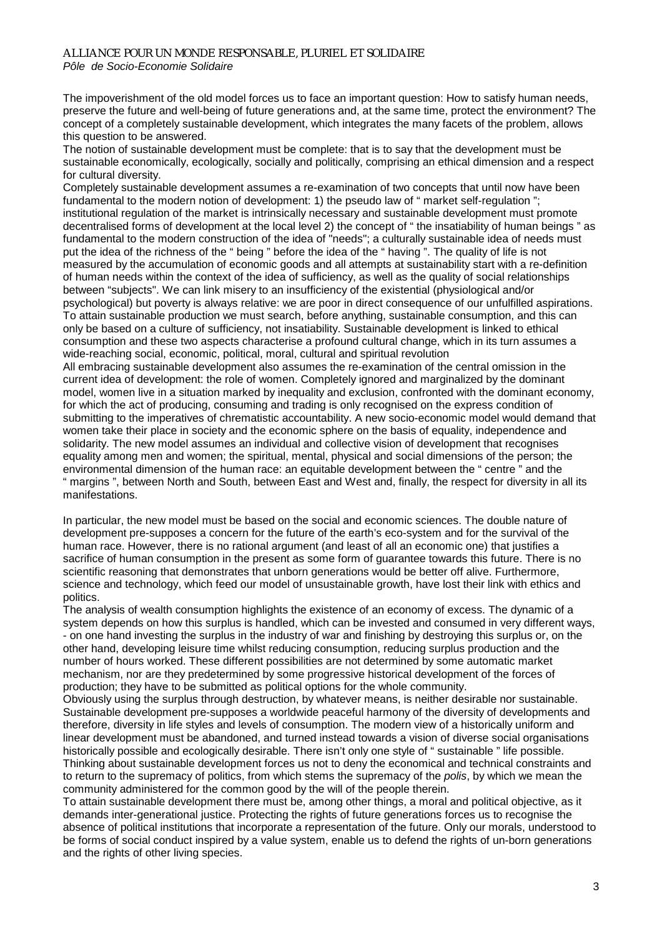The impoverishment of the old model forces us to face an important question: How to satisfy human needs, preserve the future and well-being of future generations and, at the same time, protect the environment? The concept of a completely sustainable development, which integrates the many facets of the problem, allows this question to be answered.

The notion of sustainable development must be complete: that is to say that the development must be sustainable economically, ecologically, socially and politically, comprising an ethical dimension and a respect for cultural diversity.

Completely sustainable development assumes a re-examination of two concepts that until now have been fundamental to the modern notion of development: 1) the pseudo law of " market self-regulation"; institutional regulation of the market is intrinsically necessary and sustainable development must promote decentralised forms of development at the local level 2) the concept of " the insatiability of human beings " as fundamental to the modern construction of the idea of "needs"; a culturally sustainable idea of needs must put the idea of the richness of the " being " before the idea of the " having ". The quality of life is not measured by the accumulation of economic goods and all attempts at sustainability start with a re-definition of human needs within the context of the idea of sufficiency, as well as the quality of social relationships between "subjects". We can link misery to an insufficiency of the existential (physiological and/or psychological) but poverty is always relative: we are poor in direct consequence of our unfulfilled aspirations. To attain sustainable production we must search, before anything, sustainable consumption, and this can only be based on a culture of sufficiency, not insatiability. Sustainable development is linked to ethical consumption and these two aspects characterise a profound cultural change, which in its turn assumes a wide-reaching social, economic, political, moral, cultural and spiritual revolution All embracing sustainable development also assumes the re-examination of the central omission in the current idea of development: the role of women. Completely ignored and marginalized by the dominant

model, women live in a situation marked by inequality and exclusion, confronted with the dominant economy, for which the act of producing, consuming and trading is only recognised on the express condition of submitting to the imperatives of chrematistic accountability. A new socio-economic model would demand that women take their place in society and the economic sphere on the basis of equality, independence and solidarity. The new model assumes an individual and collective vision of development that recognises equality among men and women; the spiritual, mental, physical and social dimensions of the person; the environmental dimension of the human race: an equitable development between the " centre " and the " margins ", between North and South, between East and West and, finally, the respect for diversity in all its manifestations.

In particular, the new model must be based on the social and economic sciences. The double nature of development pre-supposes a concern for the future of the earth's eco-system and for the survival of the human race. However, there is no rational argument (and least of all an economic one) that justifies a sacrifice of human consumption in the present as some form of guarantee towards this future. There is no scientific reasoning that demonstrates that unborn generations would be better off alive. Furthermore, science and technology, which feed our model of unsustainable growth, have lost their link with ethics and politics.

The analysis of wealth consumption highlights the existence of an economy of excess. The dynamic of a system depends on how this surplus is handled, which can be invested and consumed in very different ways, - on one hand investing the surplus in the industry of war and finishing by destroying this surplus or, on the other hand, developing leisure time whilst reducing consumption, reducing surplus production and the number of hours worked. These different possibilities are not determined by some automatic market mechanism, nor are they predetermined by some progressive historical development of the forces of production; they have to be submitted as political options for the whole community.

Obviously using the surplus through destruction, by whatever means, is neither desirable nor sustainable. Sustainable development pre-supposes a worldwide peaceful harmony of the diversity of developments and therefore, diversity in life styles and levels of consumption. The modern view of a historically uniform and linear development must be abandoned, and turned instead towards a vision of diverse social organisations historically possible and ecologically desirable. There isn't only one style of " sustainable " life possible. Thinking about sustainable development forces us not to deny the economical and technical constraints and to return to the supremacy of politics, from which stems the supremacy of the *polis*, by which we mean the community administered for the common good by the will of the people therein.

To attain sustainable development there must be, among other things, a moral and political objective, as it demands inter-generational justice. Protecting the rights of future generations forces us to recognise the absence of political institutions that incorporate a representation of the future. Only our morals, understood to be forms of social conduct inspired by a value system, enable us to defend the rights of un-born generations and the rights of other living species.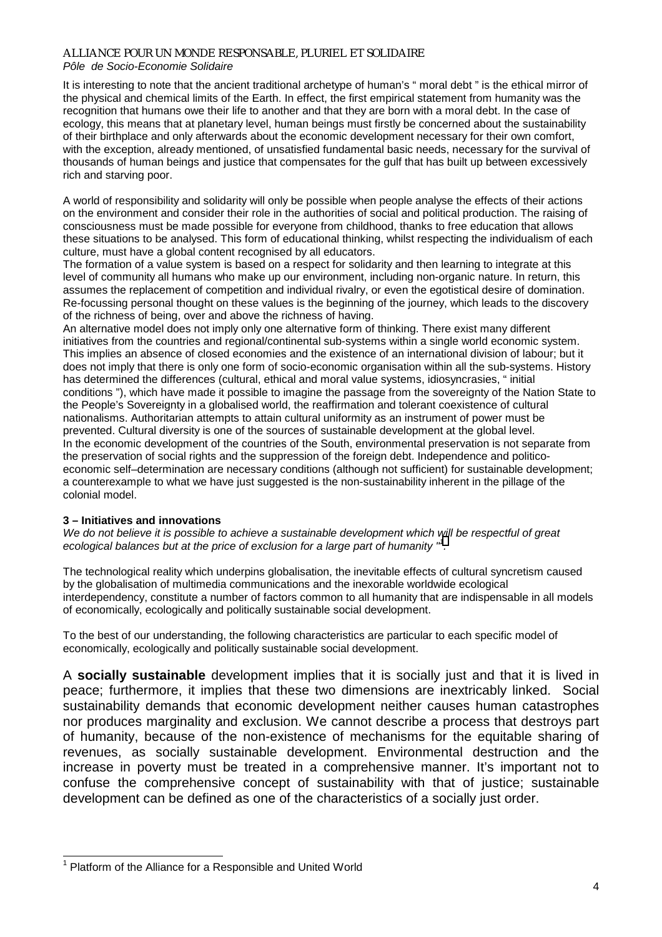## *ALLIANCE POUR UN MONDE RESPONSABLE, PLURIEL ET SOLIDAIRE*

### *Pôle de Socio-Economie Solidaire*

It is interesting to note that the ancient traditional archetype of human's " moral debt " is the ethical mirror of the physical and chemical limits of the Earth. In effect, the first empirical statement from humanity was the recognition that humans owe their life to another and that they are born with a moral debt. In the case of ecology, this means that at planetary level, human beings must firstly be concerned about the sustainability of their birthplace and only afterwards about the economic development necessary for their own comfort, with the exception, already mentioned, of unsatisfied fundamental basic needs, necessary for the survival of thousands of human beings and justice that compensates for the gulf that has built up between excessively rich and starving poor.

A world of responsibility and solidarity will only be possible when people analyse the effects of their actions on the environment and consider their role in the authorities of social and political production. The raising of consciousness must be made possible for everyone from childhood, thanks to free education that allows these situations to be analysed. This form of educational thinking, whilst respecting the individualism of each culture, must have a global content recognised by all educators.

The formation of a value system is based on a respect for solidarity and then learning to integrate at this level of community all humans who make up our environment, including non-organic nature. In return, this assumes the replacement of competition and individual rivalry, or even the egotistical desire of domination. Re-focussing personal thought on these values is the beginning of the journey, which leads to the discovery of the richness of being, over and above the richness of having.

An alternative model does not imply only one alternative form of thinking. There exist many different initiatives from the countries and regional/continental sub-systems within a single world economic system. This implies an absence of closed economies and the existence of an international division of labour; but it does not imply that there is only one form of socio-economic organisation within all the sub-systems. History has determined the differences (cultural, ethical and moral value systems, idiosyncrasies, " initial conditions "), which have made it possible to imagine the passage from the sovereignty of the Nation State to the People's Sovereignty in a globalised world, the reaffirmation and tolerant coexistence of cultural nationalisms. Authoritarian attempts to attain cultural uniformity as an instrument of power must be prevented. Cultural diversity is one of the sources of sustainable development at the global level. In the economic development of the countries of the South, environmental preservation is not separate from the preservation of social rights and the suppression of the foreign debt. Independence and politicoeconomic self–determination are necessary conditions (although not sufficient) for sustainable development; a counterexample to what we have just suggested is the non-sustainability inherent in the pillage of the colonial model.

#### **3 – Initiatives and innovations**

*We do not believe it is possible to achieve a sustainable development which will be respectful of great*  ecological balances but at the price of exclusion for a large part of humanity "<sup>1</sup>.

The technological reality which underpins globalisation, the inevitable effects of cultural syncretism caused by the globalisation of multimedia communications and the inexorable worldwide ecological interdependency, constitute a number of factors common to all humanity that are indispensable in all models of economically, ecologically and politically sustainable social development.

To the best of our understanding, the following characteristics are particular to each specific model of economically, ecologically and politically sustainable social development.

A **socially sustainable** development implies that it is socially just and that it is lived in peace; furthermore, it implies that these two dimensions are inextricably linked. Social sustainability demands that economic development neither causes human catastrophes nor produces marginality and exclusion. We cannot describe a process that destroys part of humanity, because of the non-existence of mechanisms for the equitable sharing of revenues, as socially sustainable development. Environmental destruction and the increase in poverty must be treated in a comprehensive manner. It's important not to confuse the comprehensive concept of sustainability with that of justice; sustainable development can be defined as one of the characteristics of a socially just order.

l <sup>1</sup> Platform of the Alliance for a Responsible and United World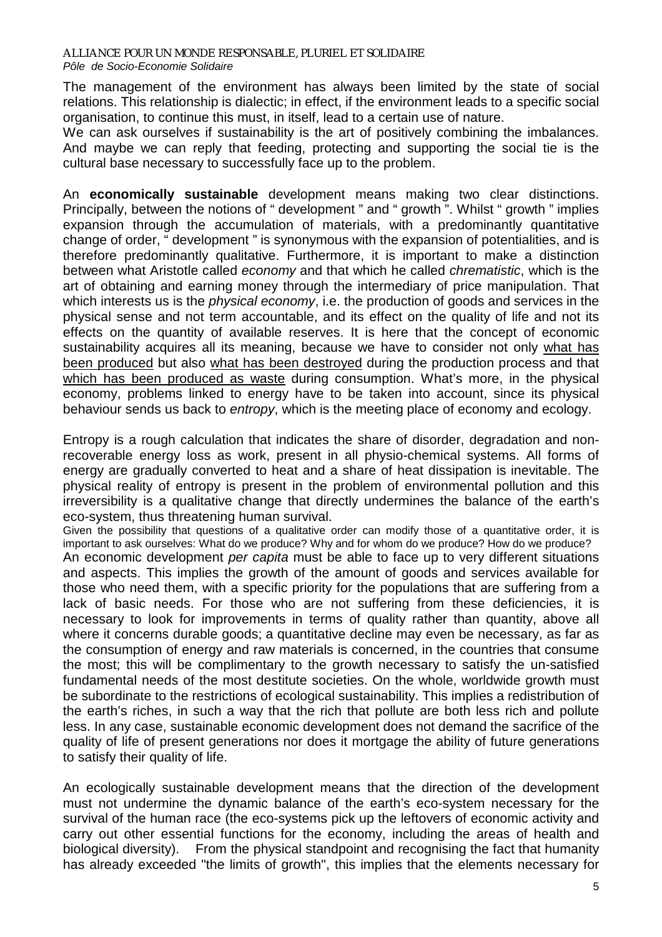The management of the environment has always been limited by the state of social relations. This relationship is dialectic; in effect, if the environment leads to a specific social organisation, to continue this must, in itself, lead to a certain use of nature.

We can ask ourselves if sustainability is the art of positively combining the imbalances. And maybe we can reply that feeding, protecting and supporting the social tie is the cultural base necessary to successfully face up to the problem.

An **economically sustainable** development means making two clear distinctions. Principally, between the notions of " development " and " growth ". Whilst " growth " implies expansion through the accumulation of materials, with a predominantly quantitative change of order, " development " is synonymous with the expansion of potentialities, and is therefore predominantly qualitative. Furthermore, it is important to make a distinction between what Aristotle called *economy* and that which he called *chrematistic*, which is the art of obtaining and earning money through the intermediary of price manipulation. That which interests us is the *physical economy*, i.e. the production of goods and services in the physical sense and not term accountable, and its effect on the quality of life and not its effects on the quantity of available reserves. It is here that the concept of economic sustainability acquires all its meaning, because we have to consider not only what has been produced but also what has been destroyed during the production process and that which has been produced as waste during consumption. What's more, in the physical economy, problems linked to energy have to be taken into account, since its physical behaviour sends us back to *entropy*, which is the meeting place of economy and ecology.

Entropy is a rough calculation that indicates the share of disorder, degradation and nonrecoverable energy loss as work, present in all physio-chemical systems. All forms of energy are gradually converted to heat and a share of heat dissipation is inevitable. The physical reality of entropy is present in the problem of environmental pollution and this irreversibility is a qualitative change that directly undermines the balance of the earth's eco-system, thus threatening human survival.

Given the possibility that questions of a qualitative order can modify those of a quantitative order, it is important to ask ourselves: What do we produce? Why and for whom do we produce? How do we produce? An economic development *per capita* must be able to face up to very different situations and aspects. This implies the growth of the amount of goods and services available for those who need them, with a specific priority for the populations that are suffering from a lack of basic needs. For those who are not suffering from these deficiencies, it is necessary to look for improvements in terms of quality rather than quantity, above all where it concerns durable goods; a quantitative decline may even be necessary, as far as the consumption of energy and raw materials is concerned, in the countries that consume the most; this will be complimentary to the growth necessary to satisfy the un-satisfied fundamental needs of the most destitute societies. On the whole, worldwide growth must be subordinate to the restrictions of ecological sustainability. This implies a redistribution of the earth's riches, in such a way that the rich that pollute are both less rich and pollute less. In any case, sustainable economic development does not demand the sacrifice of the quality of life of present generations nor does it mortgage the ability of future generations to satisfy their quality of life.

An ecologically sustainable development means that the direction of the development must not undermine the dynamic balance of the earth's eco-system necessary for the survival of the human race (the eco-systems pick up the leftovers of economic activity and carry out other essential functions for the economy, including the areas of health and biological diversity). From the physical standpoint and recognising the fact that humanity has already exceeded "the limits of growth", this implies that the elements necessary for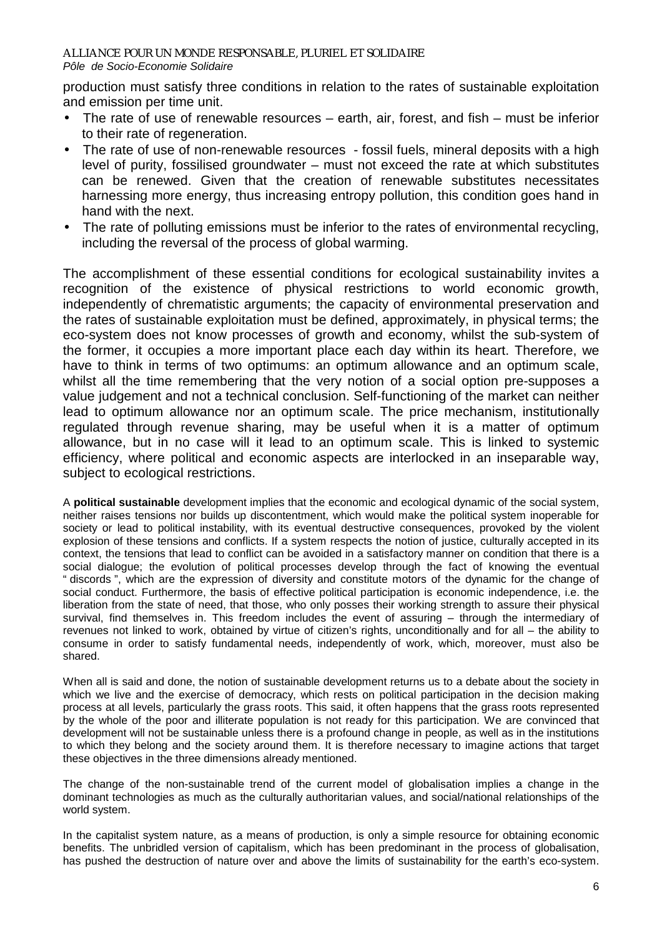production must satisfy three conditions in relation to the rates of sustainable exploitation and emission per time unit.

- The rate of use of renewable resources earth, air, forest, and fish must be inferior to their rate of regeneration.
- The rate of use of non-renewable resources fossil fuels, mineral deposits with a high level of purity, fossilised groundwater – must not exceed the rate at which substitutes can be renewed. Given that the creation of renewable substitutes necessitates harnessing more energy, thus increasing entropy pollution, this condition goes hand in hand with the next.
- The rate of polluting emissions must be inferior to the rates of environmental recycling, including the reversal of the process of global warming.

The accomplishment of these essential conditions for ecological sustainability invites a recognition of the existence of physical restrictions to world economic growth, independently of chrematistic arguments; the capacity of environmental preservation and the rates of sustainable exploitation must be defined, approximately, in physical terms; the eco-system does not know processes of growth and economy, whilst the sub-system of the former, it occupies a more important place each day within its heart. Therefore, we have to think in terms of two optimums: an optimum allowance and an optimum scale, whilst all the time remembering that the very notion of a social option pre-supposes a value judgement and not a technical conclusion. Self-functioning of the market can neither lead to optimum allowance nor an optimum scale. The price mechanism, institutionally regulated through revenue sharing, may be useful when it is a matter of optimum allowance, but in no case will it lead to an optimum scale. This is linked to systemic efficiency, where political and economic aspects are interlocked in an inseparable way, subject to ecological restrictions.

A **political sustainable** development implies that the economic and ecological dynamic of the social system, neither raises tensions nor builds up discontentment, which would make the political system inoperable for society or lead to political instability, with its eventual destructive consequences, provoked by the violent explosion of these tensions and conflicts. If a system respects the notion of justice, culturally accepted in its context, the tensions that lead to conflict can be avoided in a satisfactory manner on condition that there is a social dialogue; the evolution of political processes develop through the fact of knowing the eventual " discords ", which are the expression of diversity and constitute motors of the dynamic for the change of social conduct. Furthermore, the basis of effective political participation is economic independence, i.e. the liberation from the state of need, that those, who only posses their working strength to assure their physical survival, find themselves in. This freedom includes the event of assuring – through the intermediary of revenues not linked to work, obtained by virtue of citizen's rights, unconditionally and for all – the ability to consume in order to satisfy fundamental needs, independently of work, which, moreover, must also be shared.

When all is said and done, the notion of sustainable development returns us to a debate about the society in which we live and the exercise of democracy, which rests on political participation in the decision making process at all levels, particularly the grass roots. This said, it often happens that the grass roots represented by the whole of the poor and illiterate population is not ready for this participation. We are convinced that development will not be sustainable unless there is a profound change in people, as well as in the institutions to which they belong and the society around them. It is therefore necessary to imagine actions that target these objectives in the three dimensions already mentioned.

The change of the non-sustainable trend of the current model of globalisation implies a change in the dominant technologies as much as the culturally authoritarian values, and social/national relationships of the world system.

In the capitalist system nature, as a means of production, is only a simple resource for obtaining economic benefits. The unbridled version of capitalism, which has been predominant in the process of globalisation, has pushed the destruction of nature over and above the limits of sustainability for the earth's eco-system.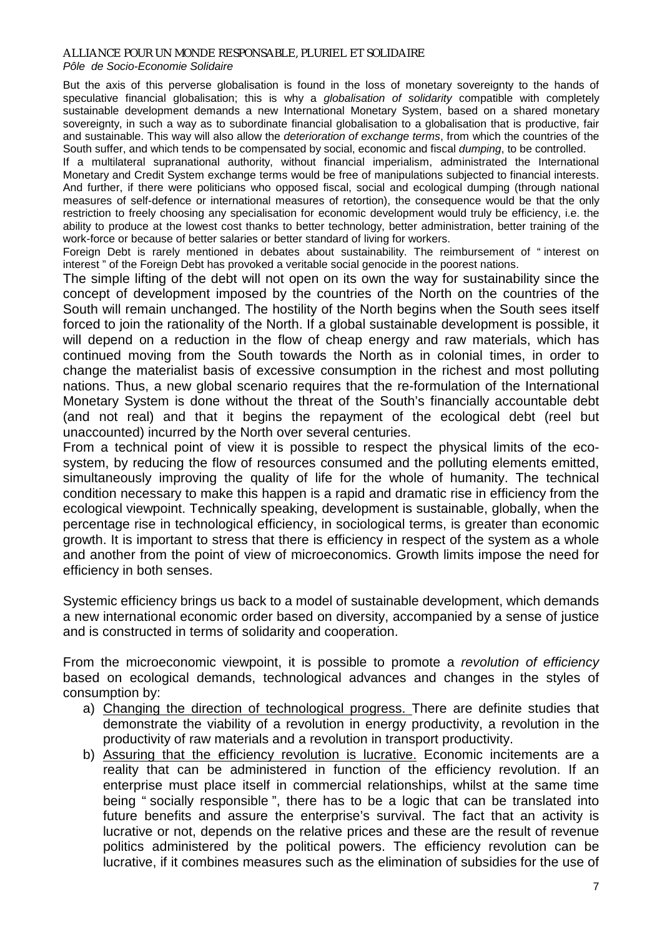### *ALLIANCE POUR UN MONDE RESPONSABLE, PLURIEL ET SOLIDAIRE*

### *Pôle de Socio-Economie Solidaire*

But the axis of this perverse globalisation is found in the loss of monetary sovereignty to the hands of speculative financial globalisation; this is why a *globalisation of solidarity* compatible with completely sustainable development demands a new International Monetary System, based on a shared monetary sovereignty, in such a way as to subordinate financial globalisation to a globalisation that is productive, fair and sustainable. This way will also allow the *deterioration of exchange terms*, from which the countries of the South suffer, and which tends to be compensated by social, economic and fiscal *dumping*, to be controlled.

If a multilateral supranational authority, without financial imperialism, administrated the International Monetary and Credit System exchange terms would be free of manipulations subjected to financial interests. And further, if there were politicians who opposed fiscal, social and ecological dumping (through national measures of self-defence or international measures of retortion), the consequence would be that the only restriction to freely choosing any specialisation for economic development would truly be efficiency, i.e. the ability to produce at the lowest cost thanks to better technology, better administration, better training of the work-force or because of better salaries or better standard of living for workers.

Foreign Debt is rarely mentioned in debates about sustainability. The reimbursement of " interest on interest " of the Foreign Debt has provoked a veritable social genocide in the poorest nations.

The simple lifting of the debt will not open on its own the way for sustainability since the concept of development imposed by the countries of the North on the countries of the South will remain unchanged. The hostility of the North begins when the South sees itself forced to join the rationality of the North. If a global sustainable development is possible, it will depend on a reduction in the flow of cheap energy and raw materials, which has continued moving from the South towards the North as in colonial times, in order to change the materialist basis of excessive consumption in the richest and most polluting nations. Thus, a new global scenario requires that the re-formulation of the International Monetary System is done without the threat of the South's financially accountable debt (and not real) and that it begins the repayment of the ecological debt (reel but unaccounted) incurred by the North over several centuries.

From a technical point of view it is possible to respect the physical limits of the ecosystem, by reducing the flow of resources consumed and the polluting elements emitted, simultaneously improving the quality of life for the whole of humanity. The technical condition necessary to make this happen is a rapid and dramatic rise in efficiency from the ecological viewpoint. Technically speaking, development is sustainable, globally, when the percentage rise in technological efficiency, in sociological terms, is greater than economic growth. It is important to stress that there is efficiency in respect of the system as a whole and another from the point of view of microeconomics. Growth limits impose the need for efficiency in both senses.

Systemic efficiency brings us back to a model of sustainable development, which demands a new international economic order based on diversity, accompanied by a sense of justice and is constructed in terms of solidarity and cooperation.

From the microeconomic viewpoint, it is possible to promote a *revolution of efficiency* based on ecological demands, technological advances and changes in the styles of consumption by:

- a) Changing the direction of technological progress. There are definite studies that demonstrate the viability of a revolution in energy productivity, a revolution in the productivity of raw materials and a revolution in transport productivity.
- b) Assuring that the efficiency revolution is lucrative. Economic incitements are a reality that can be administered in function of the efficiency revolution. If an enterprise must place itself in commercial relationships, whilst at the same time being " socially responsible ", there has to be a logic that can be translated into future benefits and assure the enterprise's survival. The fact that an activity is lucrative or not, depends on the relative prices and these are the result of revenue politics administered by the political powers. The efficiency revolution can be lucrative, if it combines measures such as the elimination of subsidies for the use of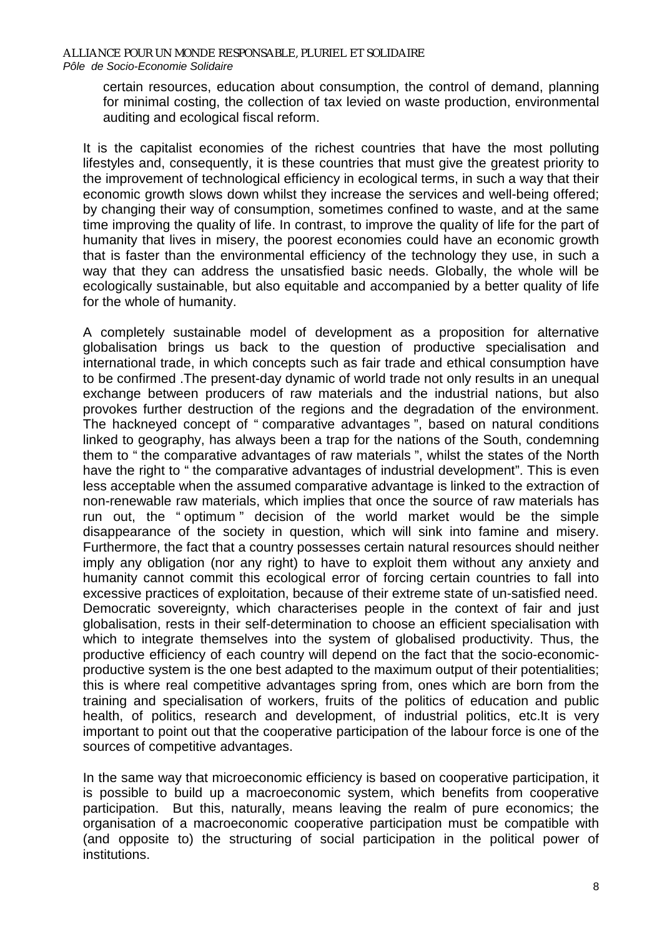certain resources, education about consumption, the control of demand, planning for minimal costing, the collection of tax levied on waste production, environmental auditing and ecological fiscal reform.

It is the capitalist economies of the richest countries that have the most polluting lifestyles and, consequently, it is these countries that must give the greatest priority to the improvement of technological efficiency in ecological terms, in such a way that their economic growth slows down whilst they increase the services and well-being offered; by changing their way of consumption, sometimes confined to waste, and at the same time improving the quality of life. In contrast, to improve the quality of life for the part of humanity that lives in misery, the poorest economies could have an economic growth that is faster than the environmental efficiency of the technology they use, in such a way that they can address the unsatisfied basic needs. Globally, the whole will be ecologically sustainable, but also equitable and accompanied by a better quality of life for the whole of humanity.

A completely sustainable model of development as a proposition for alternative globalisation brings us back to the question of productive specialisation and international trade, in which concepts such as fair trade and ethical consumption have to be confirmed .The present-day dynamic of world trade not only results in an unequal exchange between producers of raw materials and the industrial nations, but also provokes further destruction of the regions and the degradation of the environment. The hackneyed concept of " comparative advantages ", based on natural conditions linked to geography, has always been a trap for the nations of the South, condemning them to " the comparative advantages of raw materials ", whilst the states of the North have the right to " the comparative advantages of industrial development". This is even less acceptable when the assumed comparative advantage is linked to the extraction of non-renewable raw materials, which implies that once the source of raw materials has run out, the " optimum " decision of the world market would be the simple disappearance of the society in question, which will sink into famine and misery. Furthermore, the fact that a country possesses certain natural resources should neither imply any obligation (nor any right) to have to exploit them without any anxiety and humanity cannot commit this ecological error of forcing certain countries to fall into excessive practices of exploitation, because of their extreme state of un-satisfied need. Democratic sovereignty, which characterises people in the context of fair and just globalisation, rests in their self-determination to choose an efficient specialisation with which to integrate themselves into the system of globalised productivity. Thus, the productive efficiency of each country will depend on the fact that the socio-economicproductive system is the one best adapted to the maximum output of their potentialities; this is where real competitive advantages spring from, ones which are born from the training and specialisation of workers, fruits of the politics of education and public health, of politics, research and development, of industrial politics, etc.It is very important to point out that the cooperative participation of the labour force is one of the sources of competitive advantages.

In the same way that microeconomic efficiency is based on cooperative participation, it is possible to build up a macroeconomic system, which benefits from cooperative participation. But this, naturally, means leaving the realm of pure economics; the organisation of a macroeconomic cooperative participation must be compatible with (and opposite to) the structuring of social participation in the political power of institutions.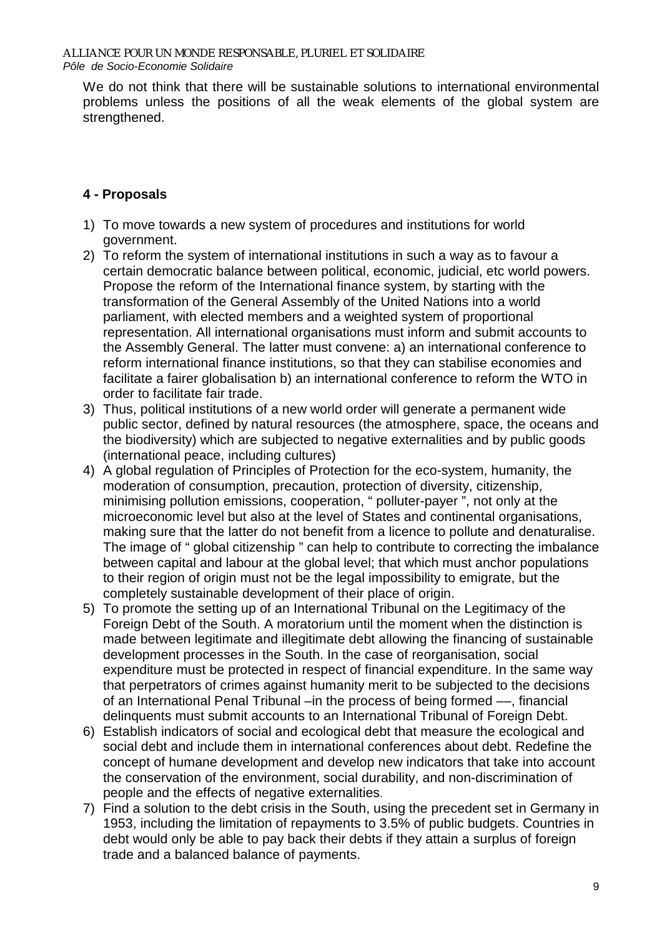We do not think that there will be sustainable solutions to international environmental problems unless the positions of all the weak elements of the global system are strengthened.

# **4 - Proposals**

- 1) To move towards a new system of procedures and institutions for world government.
- 2) To reform the system of international institutions in such a way as to favour a certain democratic balance between political, economic, judicial, etc world powers. Propose the reform of the International finance system, by starting with the transformation of the General Assembly of the United Nations into a world parliament, with elected members and a weighted system of proportional representation. All international organisations must inform and submit accounts to the Assembly General. The latter must convene: a) an international conference to reform international finance institutions, so that they can stabilise economies and facilitate a fairer globalisation b) an international conference to reform the WTO in order to facilitate fair trade.
- 3) Thus, political institutions of a new world order will generate a permanent wide public sector, defined by natural resources (the atmosphere, space, the oceans and the biodiversity) which are subjected to negative externalities and by public goods (international peace, including cultures)
- 4) A global regulation of Principles of Protection for the eco-system, humanity, the moderation of consumption, precaution, protection of diversity, citizenship, minimising pollution emissions, cooperation, " polluter-payer ", not only at the microeconomic level but also at the level of States and continental organisations, making sure that the latter do not benefit from a licence to pollute and denaturalise. The image of " global citizenship " can help to contribute to correcting the imbalance between capital and labour at the global level; that which must anchor populations to their region of origin must not be the legal impossibility to emigrate, but the completely sustainable development of their place of origin.
- 5) To promote the setting up of an International Tribunal on the Legitimacy of the Foreign Debt of the South. A moratorium until the moment when the distinction is made between legitimate and illegitimate debt allowing the financing of sustainable development processes in the South. In the case of reorganisation, social expenditure must be protected in respect of financial expenditure. In the same way that perpetrators of crimes against humanity merit to be subjected to the decisions of an International Penal Tribunal –in the process of being formed ––, financial delinquents must submit accounts to an International Tribunal of Foreign Debt.
- 6) Establish indicators of social and ecological debt that measure the ecological and social debt and include them in international conferences about debt. Redefine the concept of humane development and develop new indicators that take into account the conservation of the environment, social durability, and non-discrimination of people and the effects of negative externalities.
- 7) Find a solution to the debt crisis in the South, using the precedent set in Germany in 1953, including the limitation of repayments to 3.5% of public budgets. Countries in debt would only be able to pay back their debts if they attain a surplus of foreign trade and a balanced balance of payments.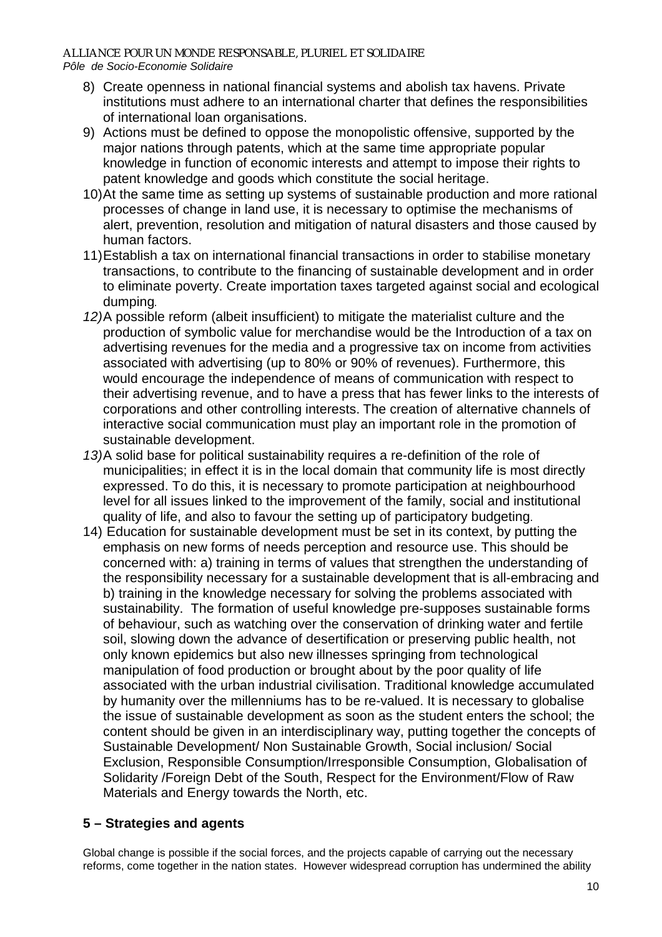- 8) Create openness in national financial systems and abolish tax havens. Private institutions must adhere to an international charter that defines the responsibilities of international loan organisations.
- 9) Actions must be defined to oppose the monopolistic offensive, supported by the major nations through patents, which at the same time appropriate popular knowledge in function of economic interests and attempt to impose their rights to patent knowledge and goods which constitute the social heritage.
- 10) At the same time as setting up systems of sustainable production and more rational processes of change in land use, it is necessary to optimise the mechanisms of alert, prevention, resolution and mitigation of natural disasters and those caused by human factors.
- 11) Establish a tax on international financial transactions in order to stabilise monetary transactions, to contribute to the financing of sustainable development and in order to eliminate poverty. Create importation taxes targeted against social and ecological dumping*.*
- 12) A possible reform (albeit insufficient) to mitigate the materialist culture and the production of symbolic value for merchandise would be the Introduction of a tax on advertising revenues for the media and a progressive tax on income from activities associated with advertising (up to 80% or 90% of revenues). Furthermore, this would encourage the independence of means of communication with respect to their advertising revenue, and to have a press that has fewer links to the interests of corporations and other controlling interests. The creation of alternative channels of interactive social communication must play an important role in the promotion of sustainable development.
- 13) A solid base for political sustainability requires a re-definition of the role of municipalities; in effect it is in the local domain that community life is most directly expressed. To do this, it is necessary to promote participation at neighbourhood level for all issues linked to the improvement of the family, social and institutional quality of life, and also to favour the setting up of participatory budgeting.
- 14) Education for sustainable development must be set in its context, by putting the emphasis on new forms of needs perception and resource use. This should be concerned with: a) training in terms of values that strengthen the understanding of the responsibility necessary for a sustainable development that is all-embracing and b) training in the knowledge necessary for solving the problems associated with sustainability. The formation of useful knowledge pre-supposes sustainable forms of behaviour, such as watching over the conservation of drinking water and fertile soil, slowing down the advance of desertification or preserving public health, not only known epidemics but also new illnesses springing from technological manipulation of food production or brought about by the poor quality of life associated with the urban industrial civilisation. Traditional knowledge accumulated by humanity over the millenniums has to be re-valued. It is necessary to globalise the issue of sustainable development as soon as the student enters the school; the content should be given in an interdisciplinary way, putting together the concepts of Sustainable Development/ Non Sustainable Growth, Social inclusion/ Social Exclusion, Responsible Consumption/Irresponsible Consumption, Globalisation of Solidarity /Foreign Debt of the South, Respect for the Environment/Flow of Raw Materials and Energy towards the North, etc.

### **5 – Strategies and agents**

Global change is possible if the social forces, and the projects capable of carrying out the necessary reforms, come together in the nation states. However widespread corruption has undermined the ability